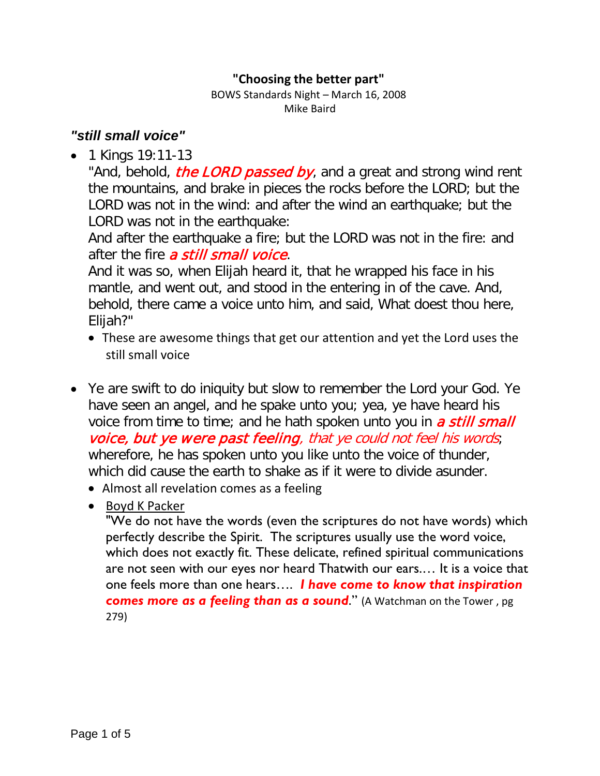#### **"Choosing the better part"**

BOWS Standards Night – March 16, 2008 Mike Baird

## *"still small voice"*

• 1 Kings 19:11-13

"And, behold, *the LORD passed by*, and a great and strong wind rent the mountains, and brake in pieces the rocks before the LORD; but the LORD was not in the wind: and after the wind an earthquake; but the LORD was not in the earthquake:

And after the earthquake a fire; but the LORD was not in the fire: and after the fire a still small voice.

And it was so, when Elijah heard it, that he wrapped his face in his mantle, and went out, and stood in the entering in of the cave. And, behold, there came a voice unto him, and said, What doest thou here, Elijah?"

- These are awesome things that get our attention and yet the Lord uses the still small voice
- Ye are swift to do iniquity but slow to remember the Lord your God. Ye have seen an angel, and he spake unto you; yea, ye have heard his voice from time to time; and he hath spoken unto you in a still small voice, but ye were past feeling, that ye could not feel his words; wherefore, he has spoken unto you like unto the voice of thunder, which did cause the earth to shake as if it were to divide asunder.
	- Almost all revelation comes as a feeling
	- Boyd K Packer

"We do not have the words (even the scriptures do not have words) which perfectly describe the Spirit. The scriptures usually use the word voice, which does not exactly fit. These delicate, refined spiritual communications are not seen with our eyes nor heard Thatwith our ears.… It is a voice that one feels more than one hears…. *I have come to know that inspiration comes more as a feeling than as a sound*." (A Watchman on the Tower , pg 279)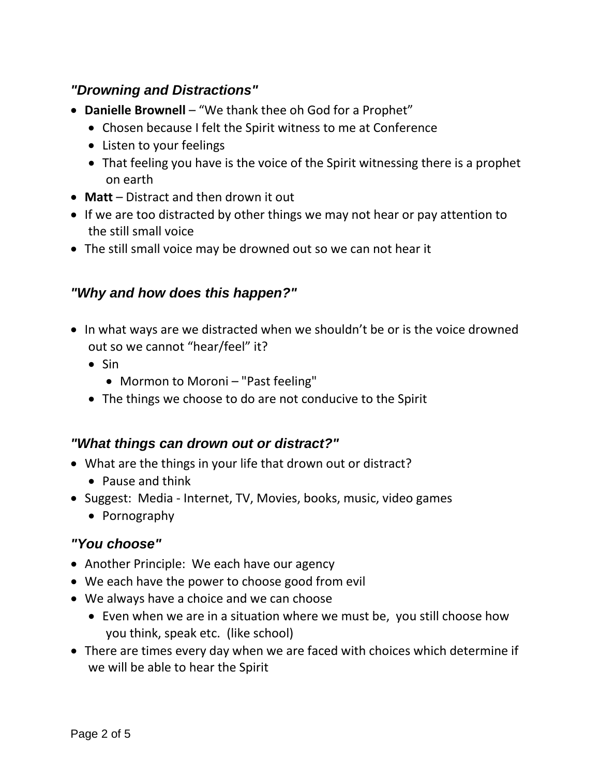## *"Drowning and Distractions"*

- **Danielle Brownell** "We thank thee oh God for a Prophet"
	- Chosen because I felt the Spirit witness to me at Conference
	- Listen to your feelings
	- That feeling you have is the voice of the Spirit witnessing there is a prophet on earth
- **Matt** Distract and then drown it out
- If we are too distracted by other things we may not hear or pay attention to the still small voice
- The still small voice may be drowned out so we can not hear it

### *"Why and how does this happen?"*

- In what ways are we distracted when we shouldn't be or is the voice drowned out so we cannot "hear/feel" it?
	- Sin
		- Mormon to Moroni "Past feeling"
	- The things we choose to do are not conducive to the Spirit

#### *"What things can drown out or distract?"*

- What are the things in your life that drown out or distract?
	- Pause and think
- Suggest: Media Internet, TV, Movies, books, music, video games
	- Pornography

#### *"You choose"*

- Another Principle: We each have our agency
- We each have the power to choose good from evil
- We always have a choice and we can choose
	- Even when we are in a situation where we must be, you still choose how you think, speak etc. (like school)
- There are times every day when we are faced with choices which determine if we will be able to hear the Spirit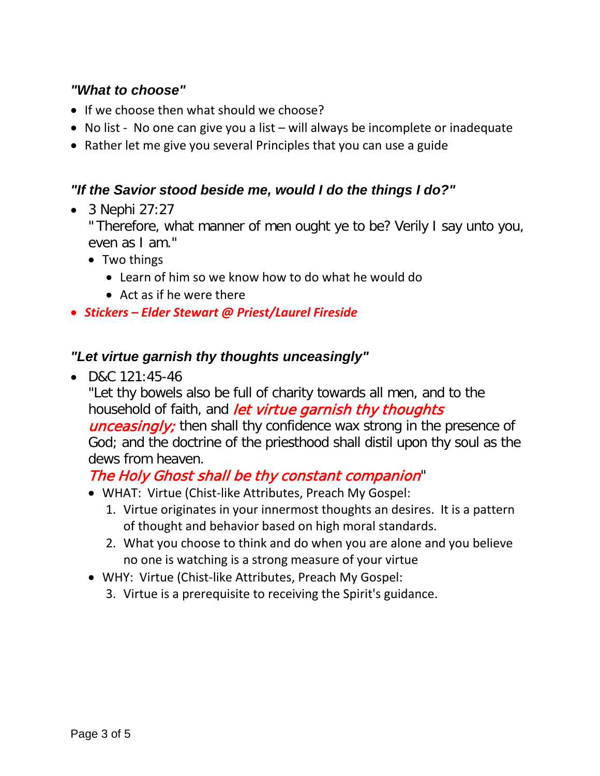## *"What to choose"*

- If we choose then what should we choose?
- No list No one can give you a list will always be incomplete or inadequate
- Rather let me give you several Principles that you can use a guide

### *"If the Savior stood beside me, would I do the things I do?"*

• 3 Nephi 27:27

" Therefore, what manner of men ought ye to be? Verily I say unto you, even as I am."

- Two things
	- Learn of him so we know how to do what he would do
	- Act as if he were there
- *Stickers – Elder Stewart @ Priest/Laurel Fireside*

### *"Let virtue garnish thy thoughts unceasingly"*

• D&C 121:45-46

"Let thy bowels also be full of charity towards all men, and to the household of faith, and *let virtue garnish thy thoughts* **unceasingly**; then shall thy confidence wax strong in the presence of God; and the doctrine of the priesthood shall distil upon thy soul as the dews from heaven.

# The Holy Ghost shall be thy constant companion"

- WHAT: Virtue (Chist-like Attributes, Preach My Gospel:
	- 1. Virtue originates in your innermost thoughts an desires. It is a pattern of thought and behavior based on high moral standards.
	- 2. What you choose to think and do when you are alone and you believe no one is watching is a strong measure of your virtue
- WHY: Virtue (Chist-like Attributes, Preach My Gospel:
	- 3. Virtue is a prerequisite to receiving the Spirit's guidance.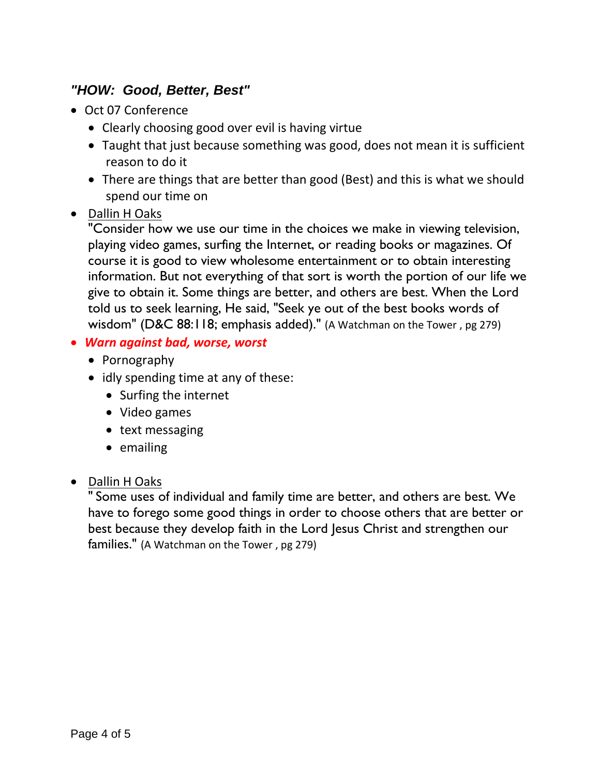## *"HOW: Good, Better, Best"*

- Oct 07 Conference
	- Clearly choosing good over evil is having virtue
	- Taught that just because something was good, does not mean it is sufficient reason to do it
	- There are things that are better than good (Best) and this is what we should spend our time on

### • Dallin H Oaks

"Consider how we use our time in the choices we make in viewing television, playing video games, surfing the Internet, or reading books or magazines. Of course it is good to view wholesome entertainment or to obtain interesting information. But not everything of that sort is worth the portion of our life we give to obtain it. Some things are better, and others are best. When the Lord told us to seek learning, He said, "Seek ye out of the best books words of wisdom" (D&C 88:118; emphasis added)." (A Watchman on the Tower , pg 279)

- *Warn against bad, worse, worst*
	- Pornography
	- idly spending time at any of these:
		- Surfing the internet
		- Video games
		- text messaging
		- emailing

### • Dallin H Oaks

" Some uses of individual and family time are better, and others are best. We have to forego some good things in order to choose others that are better or best because they develop faith in the Lord Jesus Christ and strengthen our families." (A Watchman on the Tower , pg 279)